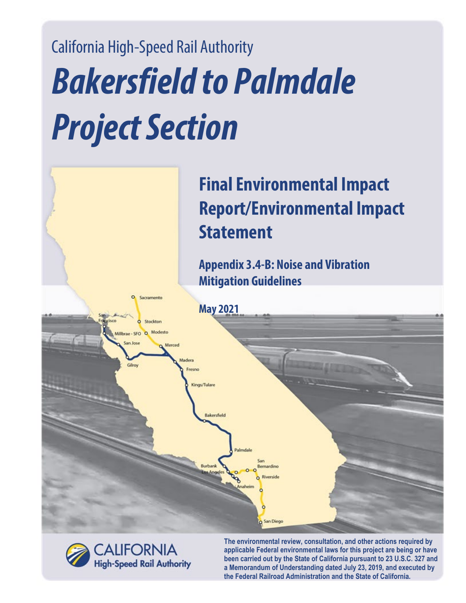# California High-Speed Rail Authority *Bakersfield to Palmdale Project Section*

**May 2021** 

Sacramento

Stockton

# **Final Environmental Impact Report/Environmental Impact Statement**

**Appendix 3.4-B: Noise and Vibration Mitigation Guidelines** 

San Dieg

**CALIFORNIA High-Speed Rail Authority** 

**The environmental review, consultation, and other actions required by applicable Federal environmental laws for this project are being or have been carried out by the State of California pursuant to 23 U.S.C. 327 and a Memorandum of Understanding dated July 23, 2019, and executed by the Federal Railroad Administration and the State of California.**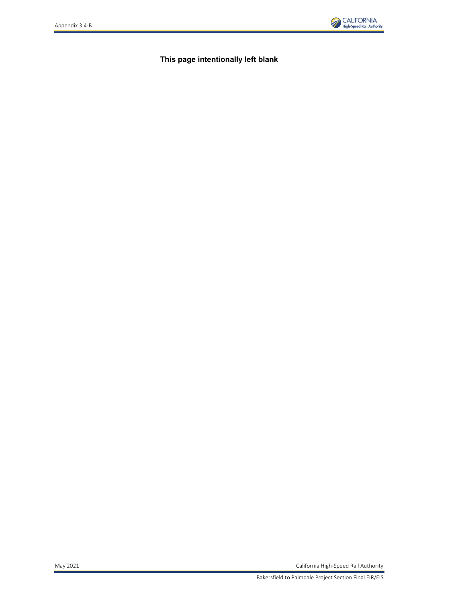

**This page intentionally left blank**

May 2021 California High-Speed Rail Authority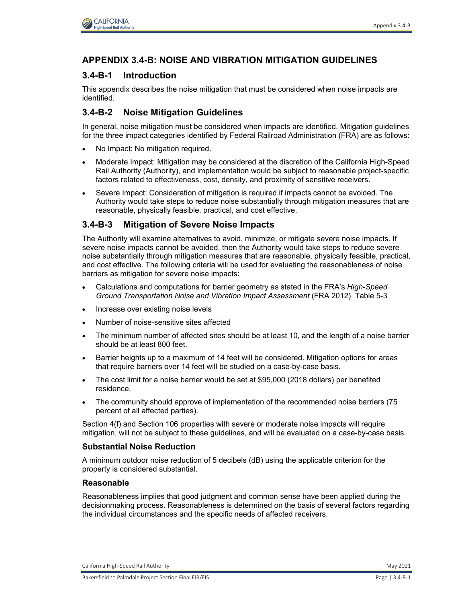

### **APPENDIX 3.4-B: NOISE AND VIBRATION MITIGATION GUIDELINES**

#### **3.4-B-1 Introduction**

This appendix describes the noise mitigation that must be considered when noise impacts are identified.

#### **3.4-B-2 Noise Mitigation Guidelines**

In general, noise mitigation must be considered when impacts are identified. Mitigation guidelines for the three impact categories identified by Federal Railroad Administration (FRA) are as follows:

- No Impact: No mitigation required.
- Moderate Impact: Mitigation may be considered at the discretion of the California High-Speed Rail Authority (Authority), and implementation would be subject to reasonable project-specific factors related to effectiveness, cost, density, and proximity of sensitive receivers.
- Severe Impact: Consideration of mitigation is required if impacts cannot be avoided. The Authority would take steps to reduce noise substantially through mitigation measures that are reasonable, physically feasible, practical, and cost effective.

#### **3.4-B-3 Mitigation of Severe Noise Impacts**

The Authority will examine alternatives to avoid, minimize, or mitigate severe noise impacts. If severe noise impacts cannot be avoided, then the Authority would take steps to reduce severe noise substantially through mitigation measures that are reasonable, physically feasible, practical, and cost effective. The following criteria will be used for evaluating the reasonableness of noise barriers as mitigation for severe noise impacts:

- Calculations and computations for barrier geometry as stated in the FRA's *High-Speed Ground Transportation Noise and Vibration Impact Assessment* (FRA 2012), Table 5-3
- Increase over existing noise levels
- Number of noise-sensitive sites affected
- The minimum number of affected sites should be at least 10, and the length of a noise barrier should be at least 800 feet.
- Barrier heights up to a maximum of 14 feet will be considered. Mitigation options for areas that require barriers over 14 feet will be studied on a case-by-case basis.
- The cost limit for a noise barrier would be set at \$95,000 (2018 dollars) per benefited residence.
- The community should approve of implementation of the recommended noise barriers (75 percent of all affected parties).

Section 4(f) and Section 106 properties with severe or moderate noise impacts will require mitigation, will not be subject to these guidelines, and will be evaluated on a case-by-case basis.

#### **Substantial Noise Reduction**

A minimum outdoor noise reduction of 5 decibels (dB) using the applicable criterion for the property is considered substantial.

#### **Reasonable**

Reasonableness implies that good judgment and common sense have been applied during the decisionmaking process. Reasonableness is determined on the basis of several factors regarding the individual circumstances and the specific needs of affected receivers.

California High-Speed Rail Authority May 2021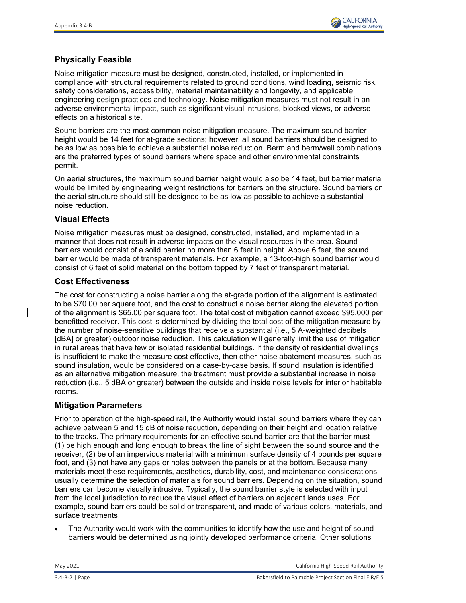

#### **Physically Feasible**

Noise mitigation measure must be designed, constructed, installed, or implemented in compliance with structural requirements related to ground conditions, wind loading, seismic risk, safety considerations, accessibility, material maintainability and longevity, and applicable engineering design practices and technology. Noise mitigation measures must not result in an adverse environmental impact, such as significant visual intrusions, blocked views, or adverse effects on a historical site.

Sound barriers are the most common noise mitigation measure. The maximum sound barrier height would be 14 feet for at-grade sections; however, all sound barriers should be designed to be as low as possible to achieve a substantial noise reduction. Berm and berm/wall combinations are the preferred types of sound barriers where space and other environmental constraints permit.

On aerial structures, the maximum sound barrier height would also be 14 feet, but barrier material would be limited by engineering weight restrictions for barriers on the structure. Sound barriers on the aerial structure should still be designed to be as low as possible to achieve a substantial noise reduction.

#### **Visual Effects**

Noise mitigation measures must be designed, constructed, installed, and implemented in a manner that does not result in adverse impacts on the visual resources in the area. Sound barriers would consist of a solid barrier no more than 6 feet in height. Above 6 feet, the sound barrier would be made of transparent materials. For example, a 13-foot-high sound barrier would consist of 6 feet of solid material on the bottom topped by 7 feet of transparent material.

#### **Cost Effectiveness**

The cost for constructing a noise barrier along the at-grade portion of the alignment is estimated to be \$70.00 per square foot, and the cost to construct a noise barrier along the elevated portion of the alignment is \$65.00 per square foot. The total cost of mitigation cannot exceed \$95,000 per benefitted receiver. This cost is determined by dividing the total cost of the mitigation measure by the number of noise-sensitive buildings that receive a substantial (i.e., 5 A-weighted decibels [dBA] or greater) outdoor noise reduction. This calculation will generally limit the use of mitigation in rural areas that have few or isolated residential buildings. If the density of residential dwellings is insufficient to make the measure cost effective, then other noise abatement measures, such as sound insulation, would be considered on a case-by-case basis. If sound insulation is identified as an alternative mitigation measure, the treatment must provide a substantial increase in noise reduction (i.e., 5 dBA or greater) between the outside and inside noise levels for interior habitable rooms.

#### **Mitigation Parameters**

Prior to operation of the high-speed rail, the Authority would install sound barriers where they can achieve between 5 and 15 dB of noise reduction, depending on their height and location relative to the tracks. The primary requirements for an effective sound barrier are that the barrier must (1) be high enough and long enough to break the line of sight between the sound source and the receiver, (2) be of an impervious material with a minimum surface density of 4 pounds per square foot, and (3) not have any gaps or holes between the panels or at the bottom. Because many materials meet these requirements, aesthetics, durability, cost, and maintenance considerations usually determine the selection of materials for sound barriers. Depending on the situation, sound barriers can become visually intrusive. Typically, the sound barrier style is selected with input from the local jurisdiction to reduce the visual effect of barriers on adjacent lands uses. For example, sound barriers could be solid or transparent, and made of various colors, materials, and surface treatments.

• The Authority would work with the communities to identify how the use and height of sound barriers would be determined using jointly developed performance criteria. Other solutions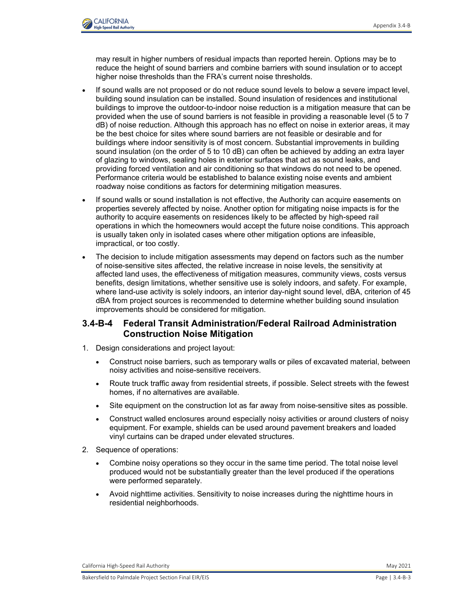

may result in higher numbers of residual impacts than reported herein. Options may be to reduce the height of sound barriers and combine barriers with sound insulation or to accept higher noise thresholds than the FRA's current noise thresholds.

- If sound walls are not proposed or do not reduce sound levels to below a severe impact level, building sound insulation can be installed. Sound insulation of residences and institutional buildings to improve the outdoor-to-indoor noise reduction is a mitigation measure that can be provided when the use of sound barriers is not feasible in providing a reasonable level (5 to 7 dB) of noise reduction. Although this approach has no effect on noise in exterior areas, it may be the best choice for sites where sound barriers are not feasible or desirable and for buildings where indoor sensitivity is of most concern. Substantial improvements in building sound insulation (on the order of 5 to 10 dB) can often be achieved by adding an extra layer of glazing to windows, sealing holes in exterior surfaces that act as sound leaks, and providing forced ventilation and air conditioning so that windows do not need to be opened. Performance criteria would be established to balance existing noise events and ambient roadway noise conditions as factors for determining mitigation measures.
- If sound walls or sound installation is not effective, the Authority can acquire easements on properties severely affected by noise. Another option for mitigating noise impacts is for the authority to acquire easements on residences likely to be affected by high-speed rail operations in which the homeowners would accept the future noise conditions. This approach is usually taken only in isolated cases where other mitigation options are infeasible, impractical, or too costly.
- The decision to include mitigation assessments may depend on factors such as the number of noise-sensitive sites affected, the relative increase in noise levels, the sensitivity at affected land uses, the effectiveness of mitigation measures, community views, costs versus benefits, design limitations, whether sensitive use is solely indoors, and safety. For example, where land-use activity is solely indoors, an interior day-night sound level, dBA, criterion of 45 dBA from project sources is recommended to determine whether building sound insulation improvements should be considered for mitigation.

#### **3.4-B-4 Federal Transit Administration/Federal Railroad Administration Construction Noise Mitigation**

- 1. Design considerations and project layout:
	- Construct noise barriers, such as temporary walls or piles of excavated material, between noisy activities and noise-sensitive receivers.
	- Route truck traffic away from residential streets, if possible. Select streets with the fewest homes, if no alternatives are available.
	- Site equipment on the construction lot as far away from noise-sensitive sites as possible.
	- Construct walled enclosures around especially noisy activities or around clusters of noisy equipment. For example, shields can be used around pavement breakers and loaded vinyl curtains can be draped under elevated structures.
- 2. Sequence of operations:
	- Combine noisy operations so they occur in the same time period. The total noise level produced would not be substantially greater than the level produced if the operations were performed separately.
	- Avoid nighttime activities. Sensitivity to noise increases during the nighttime hours in residential neighborhoods.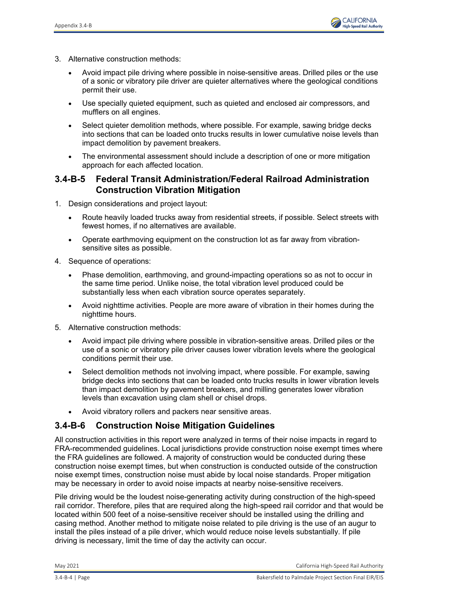

- 3. Alternative construction methods:
	- Avoid impact pile driving where possible in noise-sensitive areas. Drilled piles or the use of a sonic or vibratory pile driver are quieter alternatives where the geological conditions permit their use.
	- Use specially quieted equipment, such as quieted and enclosed air compressors, and mufflers on all engines.
	- Select quieter demolition methods, where possible. For example, sawing bridge decks into sections that can be loaded onto trucks results in lower cumulative noise levels than impact demolition by pavement breakers.
	- The environmental assessment should include a description of one or more mitigation approach for each affected location.

#### **3.4-B-5 Federal Transit Administration/Federal Railroad Administration Construction Vibration Mitigation**

- 1. Design considerations and project layout:
	- Route heavily loaded trucks away from residential streets, if possible. Select streets with fewest homes, if no alternatives are available.
	- Operate earthmoving equipment on the construction lot as far away from vibrationsensitive sites as possible.
- 4. Sequence of operations:
	- Phase demolition, earthmoving, and ground-impacting operations so as not to occur in the same time period. Unlike noise, the total vibration level produced could be substantially less when each vibration source operates separately.
	- Avoid nighttime activities. People are more aware of vibration in their homes during the nighttime hours.
- 5. Alternative construction methods:
	- Avoid impact pile driving where possible in vibration-sensitive areas. Drilled piles or the use of a sonic or vibratory pile driver causes lower vibration levels where the geological conditions permit their use.
	- Select demolition methods not involving impact, where possible. For example, sawing bridge decks into sections that can be loaded onto trucks results in lower vibration levels than impact demolition by pavement breakers, and milling generates lower vibration levels than excavation using clam shell or chisel drops.
	- Avoid vibratory rollers and packers near sensitive areas.

#### **3.4-B-6 Construction Noise Mitigation Guidelines**

All construction activities in this report were analyzed in terms of their noise impacts in regard to FRA-recommended guidelines. Local jurisdictions provide construction noise exempt times where the FRA guidelines are followed. A majority of construction would be conducted during these construction noise exempt times, but when construction is conducted outside of the construction noise exempt times, construction noise must abide by local noise standards. Proper mitigation may be necessary in order to avoid noise impacts at nearby noise-sensitive receivers.

Pile driving would be the loudest noise-generating activity during construction of the high-speed rail corridor. Therefore, piles that are required along the high-speed rail corridor and that would be located within 500 feet of a noise-sensitive receiver should be installed using the drilling and casing method. Another method to mitigate noise related to pile driving is the use of an augur to install the piles instead of a pile driver, which would reduce noise levels substantially. If pile driving is necessary, limit the time of day the activity can occur.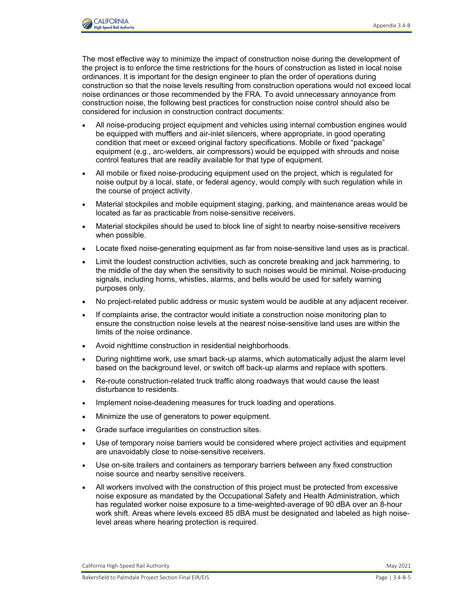

The most effective way to minimize the impact of construction noise during the development of the project is to enforce the time restrictions for the hours of construction as listed in local noise ordinances. It is important for the design engineer to plan the order of operations during construction so that the noise levels resulting from construction operations would not exceed local noise ordinances or those recommended by the FRA. To avoid unnecessary annoyance from construction noise, the following best practices for construction noise control should also be considered for inclusion in construction contract documents:

- All noise-producing project equipment and vehicles using internal combustion engines would be equipped with mufflers and air-inlet silencers, where appropriate, in good operating condition that meet or exceed original factory specifications. Mobile or fixed "package" equipment (e.g., arc-welders, air compressors) would be equipped with shrouds and noise control features that are readily available for that type of equipment.
- All mobile or fixed noise-producing equipment used on the project, which is regulated for noise output by a local, state, or federal agency, would comply with such regulation while in the course of project activity.
- Material stockpiles and mobile equipment staging, parking, and maintenance areas would be located as far as practicable from noise-sensitive receivers.
- Material stockpiles should be used to block line of sight to nearby noise-sensitive receivers when possible.
- Locate fixed noise-generating equipment as far from noise-sensitive land uses as is practical.
- Limit the loudest construction activities, such as concrete breaking and jack hammering, to the middle of the day when the sensitivity to such noises would be minimal. Noise-producing signals, including horns, whistles, alarms, and bells would be used for safety warning purposes only.
- No project-related public address or music system would be audible at any adjacent receiver.
- If complaints arise, the contractor would initiate a construction noise monitoring plan to ensure the construction noise levels at the nearest noise-sensitive land uses are within the limits of the noise ordinance.
- Avoid nighttime construction in residential neighborhoods.
- During nighttime work, use smart back-up alarms, which automatically adjust the alarm level based on the background level, or switch off back-up alarms and replace with spotters.
- Re-route construction-related truck traffic along roadways that would cause the least disturbance to residents.
- Implement noise-deadening measures for truck loading and operations.
- Minimize the use of generators to power equipment.
- Grade surface irregularities on construction sites.
- Use of temporary noise barriers would be considered where project activities and equipment are unavoidably close to noise-sensitive receivers.
- Use on-site trailers and containers as temporary barriers between any fixed construction noise source and nearby sensitive receivers.
- All workers involved with the construction of this project must be protected from excessive noise exposure as mandated by the Occupational Safety and Health Administration, which has regulated worker noise exposure to a time-weighted-average of 90 dBA over an 8-hour work shift. Areas where levels exceed 85 dBA must be designated and labeled as high noiselevel areas where hearing protection is required.

California High-Speed Rail Authority May 2021